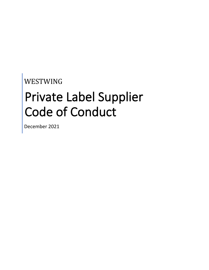# WESTWING

# Private Label Supplier Code of Conduct

December 2021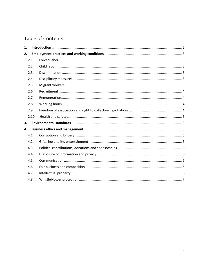# **Table of Contents**

| 1. |       |  |  |
|----|-------|--|--|
| 2. |       |  |  |
|    | 2.1.  |  |  |
|    | 2.2.  |  |  |
|    | 2.3.  |  |  |
|    | 2.4.  |  |  |
|    | 2.5.  |  |  |
|    | 2.6.  |  |  |
|    | 2.7.  |  |  |
|    | 2.8.  |  |  |
|    | 2.9.  |  |  |
|    | 2.10. |  |  |
| 3. |       |  |  |
| 4. |       |  |  |
|    | 4.1.  |  |  |
|    | 4.2.  |  |  |
|    | 4.3.  |  |  |
|    | 4.4.  |  |  |
|    | 4.5.  |  |  |
|    | 4.6.  |  |  |
|    | 4.7.  |  |  |
|    | 4.8.  |  |  |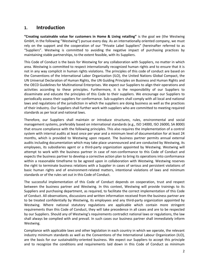### <span id="page-2-0"></span>**1. Introduction**

**"Creating sustainable value for customers in Home & Living retailing"** is the goal we (the Westwing GmbH, in the following "Westwing") pursue every day. As an internationally oriented company, we must rely on the support and the cooperation of our "Private Label Suppliers" (hereinafter referred to as "Suppliers". Westwing is committed to avoiding the negative impact of purchasing practices by maintaining stable partnerships, to the extent feasible, with its Suppliers.

This Code of Conduct is the basis for Westwing for any collaboration with Suppliers, no matter in which area. Westwing is committed to respect internationally recognized human rights and to ensure that it is not in any way complicit in human rights violations. The principles of this code of conduct are based on the Conventions of the International Labor Organization (ILO), the United Nations Global Compact, the UN Universal Declaration of Human Rights, the UN Guiding Principles on Business and Human Rights and the OECD Guidelines for Multinational Enterprises. We expect our Suppliers to align their operations and activities according to these principles. Furthermore, it is the responsibility of our Suppliers to disseminate and educate the principles of this Code to their suppliers. We encourage our Suppliers to periodically assess their suppliers for conformance. Sub-suppliers shall comply with all local and national laws and regulations of the jurisdiction in which the suppliers are doing business as well as the practices of their industry. Our Suppliers shall further work with suppliers who are committed to meeting required standards as per local and national laws.

Therefore, our Suppliers shall maintain or introduce structures, rules, environmental and social management systems, preferably based on international standards (e.g., ISO 14000, ISO 26000, SA 8000) that ensure compliance with the following principles. This also requires the implementation of a control system with internal audits at least once per year and a minimum level of documentation for at least 24 months, which is provided to Westwing upon request. The business partner permits annual external audits including documentation which may take place unannounced and are conducted by Westwing, its employees, its subsidiaries agent or a third-party organization appointed by Westwing. Westwing will attempt to work with the business partner in case of non-conformance to this Code of Conduct and expects the business partner to develop a corrective action plan to bring its operations into conformance within a reasonable timeframe to be agreed upon in collaboration with Westwing. Westwing reserves the right to terminate business relations with a Supplier in cases of serious and persistent violations of basic human rights and of environment-related matters, intentional violations of laws and minimum standards or of the rules set out in this Code of Conduct.

The successful implementation of this Code of Conduct depends on cooperation, trust and respect between the business partner and Westwing. In this context, Westwing will provide trainings to its Suppliers and purchasing department, as required, to facilitate the correct implementation of this Code of Conduct. All observations, discussions and written information received from the business partner are to be treated confidentially by Westwing, its employees and any third-party organization appointed by Westwing. Where national statutory regulations are applicable which contain more stringent requirements than this Code of Conduct, they will take precedence in all cases and are to be respected by our Suppliers. Should any of Westwing's requirements contradict national laws or regulations, the law shall always be complied with and prevail. In such cases our business partner shall immediately inform Westwing.

Compliance with applicable laws and other legislation in each country in which we operate, the relevant industry minimum standards as well as the Conventions of the International Labour Organization (ILO), are the basis for our sustainability-oriented business. We expect our Suppliers to accept this principle and to recognize the conditions and requirements laid down in this Code of Conduct as minimum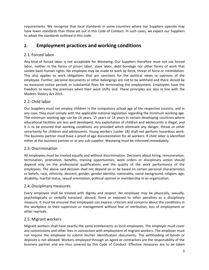requirements. We recognize that local standards in some countries where our Suppliers operate may have lower standards than those set out in this Code of Conduct. In such cases, we expect our Suppliers to adopt the standards outlined in this code.

# <span id="page-3-0"></span>**2. Employment practices and working conditions**

#### <span id="page-3-1"></span>2.1. Forced labor

Any kind of forced labor is not acceptable for Westwing. Our Suppliers therefore must not use forced labor, neither in the forms of prison labor, slave labor, debt bondage nor other forms of work that violate basic human rights. No employee may be made to work by force, threat of force or intimidation. This also applies to work obligations that are sanctions for the political views or opinions of the employee. Further, personal documents or other belongings are not to be withheld and there should be no excessive notice periods or substantial fines for terminating the employment. Employees have the freedom to leave the premises when their work shifts end. These principles are also in line with the Modern Slavery Act 2015.

#### <span id="page-3-2"></span>2.2. Child labor

Our Suppliers must not employ children in the compulsory school age of the respective country; and in any case, they must comply with the applicable national legislation regarding the minimum working age. The minimum working age can be 16 years, 15 years or 14 years in certain developing countries where educational facilities are less well developed. Any exploitation of children and adolescents is illegal, and it is to be ensured that working conditions are provided which eliminate any danger, threat or other uncertainty for children and adolescents. Young workers (under 18) shall not perform hazardous work. The business partner must have a proof of age documentation for all workers. If child labor is identified either at the business partner or at any sub-supplier, Westwing must be informed immediately.

#### <span id="page-3-3"></span>2.3. Discrimination

All employees must be treated equally and without discrimination. Decisions about hiring, remuneration, termination, promotion, benefits, training opportunities, work orders or disciplinary action should depend only on the professional qualifications and the quality of the work performance of the employees. The above said decision shall not depend on or be based on certain personal characteristics or beliefs, race, ethnicity, descent, gender, gender identity, nationality, social background, religion, age, disability, marital status, sexual orientation, political opinion or membership in an organization.

#### <span id="page-3-4"></span>2.4. Disciplinary measures

Every employee shall be treated with dignity and respect. No employee may be physically, sexually, psychologically or verbally harassed, abused, fined or exposed to other penalties as a disciplinary measure. It must be ensured that employees can express criticism and concerns about the conditions in the workplace to their supervisor or management without fear of retribution, loss of employment or other reprisals.

#### <span id="page-3-5"></span>2.5. Migrant workers

Migrant workers shall have exactly the same entitlements as local employees. The employer must cover any commissions and other fees in connection with employment of migrant workers. The employer must not require the employee to submit his/her identification documents. The withholding of bonds or deposits is not allowed. Workers employed through an agent or contractors are the responsibility of the business partner and are thus covered by this Code of Conduct. Effective measures are to be taken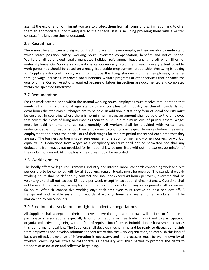against the exploitation of migrant workers to protect them from all forms of discrimination and to offer them an appropriate support adequate to their special status including providing them with a written contract in a language they understand.

#### <span id="page-4-0"></span>2.6. Recruitment

There must be a written and signed contract in place with every employee they are able to understand which states position, salary, working hours, overtime compensation, benefits and notice period. Workers shall be allowed legally mandated holiday, paid annual leave and time off when ill or for maternity leave. Our Suppliers must not charge workers any recruitment fees. To every extent possible, work performed should be based on a recognised stable employment relationship. Westwing is looking for Suppliers who continuously want to improve the living standards of their employees, whether through wage increases, improved social benefits, welfare programs or other services that enhance the quality of life. Corrective actions required because of labour inspections are documented and completed within the specified timeframe.

#### <span id="page-4-1"></span>2.7. Remuneration

For the work accomplished within the normal working hours, employees must receive remuneration that meets, at a minimum, national legal standards and complies with industry benchmark standards. For extra hours the statutory surcharges are to be paid. In addition, a statutory form of social security must be ensured. In countries where there is no minimum wage, an amount shall be paid to the employee that covers their cost of living and enables them to build up a minimum level of private assets. Wages must be paid on time and at least monthly. All workers shall be provided with written and understandable Information about their employment conditions in respect to wages before they enter employment and about the particulars of their wages for the pay period concerned each time that they are paid. The business partner must ensure equal remuneration for men and women workers for work of equal value. Deductions from wages as a disciplinary measure shall not be permitted nor shall any deductions from wages not provided for by national law be permitted without the express permission of the worker concerned. All disciplinary measures should be recorded.

#### <span id="page-4-2"></span>2.8. Working hours

The locally effective legal requirements, industry and internal labor standards concerning work and rest periods are to be complied with by all Suppliers; regular breaks must be ensured. The standard weekly working hours shall be defined by contract and shall not exceed 48 hours per week; overtime shall be voluntary and shall not exceed 12 hours per week except in exceptional circumstances. Overtime shall not be used to replace regular employment. The total hours worked in any 7-day period shall not exceed 60 hours. After six consecutive working days each employee must receive at least one day off. A transparent and reliable system for records of working hours and wages for all workers must be maintained by our Suppliers.

#### <span id="page-4-3"></span>2.9. Freedom of association and right to collective negotiations

All Suppliers shall accept that their employees have the right at their own will to join, to found or to participate in associations (especially labor organizations such as trade unions) and to participate or organize collective bargaining without fear of reprisal, interference, intimidation or harassment as far as this conforms to local law. The Suppliers shall develop mechanisms and be ready to discuss complaints from employees and develop solutions for conflicts within the work organization; to establish this kind of basis an effective exchange of information is necessary, and the processes must be well known by all workers. Westwing will strive to collaborate, as necessary with third parties to promote the rights to freedom of association and collective bargaining.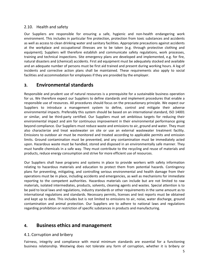#### <span id="page-5-0"></span>2.10. Health and safety

Our Suppliers are responsible for ensuring a safe, hygienic and non-health endangering work environment. This includes in particular fire protection, protection from toxic substances and accidents as well as access to clean drinking water and sanitary facilities. Appropriate precautions against accidents at the workplace and occupational illnesses are to be taken (e.g. through protective clothing and equipment); Suppliers will therefore establish and communicate safety regulations, work processes, training and technical inspections. Site emergency plans are developed and implemented, e.g. for fire, natural disasters and (chemical) accidents. First aid equipment must be adequately stocked and available and an adequate number of persons must be first aid trained and present during working hours. A log of incidents and corrective action plans shall be maintained. These requirements also apply to social facilities and accommodation for employees if they are provided by the employer.

## <span id="page-5-1"></span>**3. Environmental standards**

Responsible and prudent use of natural resources is a prerequisite for a sustainable business operation for us. We therefore expect our Suppliers to define standards and implement procedures that enable a responsible use of resources. All procedures should focus on the precautionary principle. We expect our Suppliers to introduce a management system to define, control and mitigate their adverse environmental impacts. Preferably this system should be based on an international standard, ISO 14001 or similar, and be third-party certified. Our Suppliers must set ambitious targets for reducing their environmental impact and aim for continuous improvement in their environmental performance going beyond compliance. Our Suppliers must reduce waste and emissions to air, ground and water. They must also characterize and treat wastewater on site or use an external wastewater treatment facility. Emissions to outdoor air must be monitored and treated according to applicable permits and emission limits. Ground contamination must be prevented, and any contamination must be immediately acted upon. Hazardous waste must be handled, stored and disposed in an environmentally safe manner. They must handle chemicals in a safe way. They must contribute to the recycling and reuse of materials and products, reduce energy consumption and strive for more efficient use of resources.

Our Suppliers shall have programs and systems in place to provide workers with safety information relating to hazardous materials and education to protect them from potential hazards. Contingency plans for preventing, mitigating, and controlling serious environmental and health damage from their operations must be in place, including accidents and emergencies, as well as mechanisms for immediate reporting to the competent authorities. Hazardous materials can include but are not limited to raw materials, isolated intermediates, products, solvents, cleaning agents and wastes. Special attention is to be paid to local laws and regulations, industry standards or other requirements in the same amount as to international regulations and standards. Necessary permits, licenses and test reports must be obtained and kept up to date. This includes but is not limited to emissions to air, noise, water discharge, ground contamination and animal protection. Our Suppliers are to adhere to national laws and regulations regarding prohibition or restriction of specific substances in products and manufacturing.

# <span id="page-5-2"></span>**4. Business ethics and management**

#### <span id="page-5-3"></span>4.1. Corruption and bribery

Fairness, integrity and compliance with moral minimum standards are essential for a functioning business relationship. Westwing does not tolerate any form of corruption, whether it is bribery or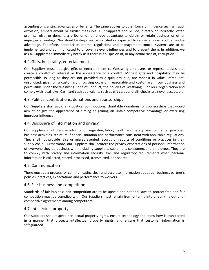accepting or granting advantages or benefits. The same applies to other forms of influence such as fraud, extortion, embezzlement or similar measures. Our Suppliers should not, directly or indirectly, offer, promise, give, or demand a bribe or other undue advantage to obtain or retain business or other improper advantage. Nor should enterprises be solicited or expected to render a bribe or other undue advantage. Therefore, appropriate internal regulations and management control systems are to be implemented and communicated to uncover relevant influences and to prevent them. In addition, we ask all Suppliers to immediately notify us if there is a suspicion of, or any actual case of, corruption.

#### <span id="page-6-0"></span>4.2. Gifts, hospitality, entertainment

Our Suppliers must not give gifts or entertainment to Westwing employees or representatives that create a conflict of interest or the appearance of a conflict. Modest gifts and hospitality may be permissible so long as they are not provided as a quid pro quo, are modest in value, infrequent, unsolicited, given on a customary gift-giving occasion, reasonable and customary in our business and permissible under the Westwing Code of Conduct, the policies of Westwing Suppliers' organization and comply with local laws. Cash and cash equivalents such as gift cards and gift checks are never acceptable.

#### <span id="page-6-1"></span>4.3. Political contributions, donations and sponsorships

Our Suppliers shall avoid any political contributions, charitable donations, or sponsorships that would aim at or give the appearance of aiming at gaining an unfair competitive advantage or exercising improper influence.

#### <span id="page-6-2"></span>4.4. Disclosure of information and privacy

Our Suppliers shall disclose information regarding labor, health and safety, environmental practices, business activities, structure, financial situation and performance consistent with applicable regulations. They shall not provide false or misrepresented records or reports of conditions or practices in their supply chain. Furthermore, our Suppliers shall protect the privacy expectations of personal information of everyone they do business with, including suppliers, customers, consumers and employees. They are to comply with privacy and information security laws and regulatory requirements when personal information is collected, stored, processed, transmitted, and shared.

#### <span id="page-6-3"></span>4.5. Communication

There must be a process for communicating clear and accurate information about our business partner's policies, practices, expectations and performance to workers.

#### <span id="page-6-4"></span>4.6. Fair business and competition

Standards of fair business and competition are to be upheld and national laws to protect free and fair competition must be complied with. Our Suppliers must refrain from entering into or carrying out anticompetitive agreements among competitors.

#### <span id="page-6-5"></span>4.7. Intellectual property

Our Suppliers shall respect intellectual property rights, ensure technology and know-how is transferred in a manner that protects intellectual property rights, and ensure that customer information is safeguarded.